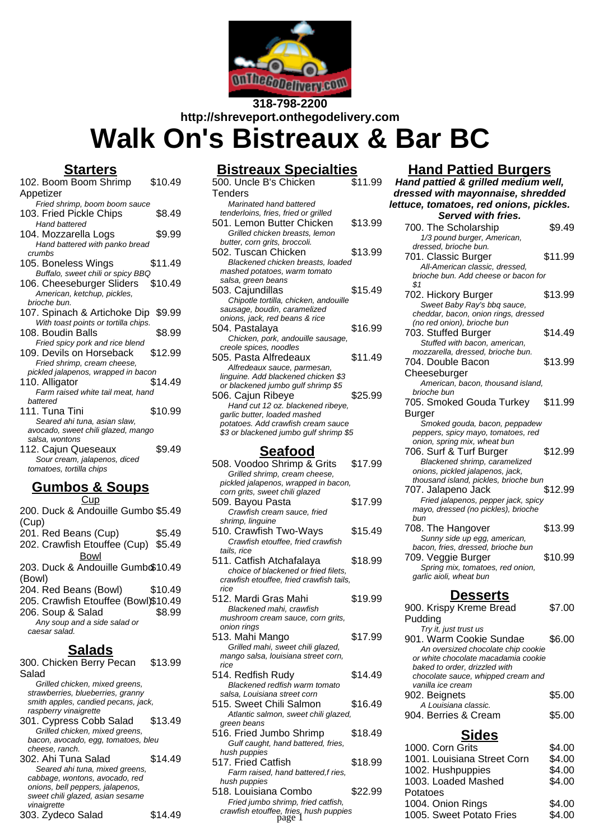

**318-798-2200 http://shreveport.onthegodelivery.com Walk On's Bistreaux & Bar BC**

# **Starters**

| 102. Boom Boom Shrimp                                    | \$10.49 |
|----------------------------------------------------------|---------|
| Appetizer                                                |         |
| Fried shrimp, boom boom sauce                            |         |
| 103. Fried Pickle Chips                                  | \$8.49  |
| <b>Hand battered</b>                                     |         |
| 104. Mozzarella Logs                                     | \$9.99  |
| Hand battered with panko bread                           |         |
| crumbs                                                   |         |
| 105. Boneless Wings                                      | \$11.49 |
| Buffalo, sweet chili or spicy BBQ                        |         |
| 106. Cheeseburger Sliders                                | \$10.49 |
| American, ketchup, pickles,                              |         |
| brioche bun.                                             |         |
| 107. Spinach & Artichoke Dip \$9.99                      |         |
| With toast points or tortilla chips.                     |         |
| 108. Boudin Balls                                        | \$8.99  |
| Fried spicy pork and rice blend                          |         |
| 109. Devils on Horseback                                 | \$12.99 |
| Fried shrimp, cream cheese,                              |         |
| pickled jalapenos, wrapped in bacon                      |         |
| 110. Alligator                                           | \$14.49 |
| Farm raised white tail meat, hand                        |         |
| battered                                                 |         |
| 111. Tuna Tini                                           | \$10.99 |
| Seared ahi tuna, asian slaw,                             |         |
| avocado, sweet chili glazed, mango<br>salsa, wontons     |         |
|                                                          | \$9.49  |
| 112. Cajun Queseaux                                      |         |
| Sour cream, jalapenos, diced<br>tomatoes, tortilla chips |         |
|                                                          |         |
| $R_{I}$ mhoc 8<br><b>IINC</b>                            |         |

# **Gumbos & Soups**

**Cup** 200. Duck & Andouille Gumbo \$5.49 (Cup) 201. Red Beans (Cup) \$5.49 202. Crawfish Etouffee (Cup) \$5.49 Bowl 203. Duck & Andouille Gumb\$10.49 (Bowl) 204. Red Beans (Bowl) \$10.49 205. Crawfish Etouffee (Bowl)\$10.49 206. Soup & Salad \$8.99 Any soup and a side salad or caesar salad. **Salads** 300. Chicken Berry Pecan Salad \$13.99

Grilled chicken, mixed greens, strawberries, blueberries, granny smith apples, candied pecans, jack, raspberry vinaigrette 301. Cypress Cobb Salad \$13.49

Grilled chicken, mixed greens, bacon, avocado, egg, tomatoes, bleu cheese, ranch.

302. Ahi Tuna Salad \$14.49 Seared ahi tuna, mixed greens, cabbage, wontons, avocado, red onions, bell peppers, jalapenos, sweet chili glazed, asian sesame vinaigrette 303. Zydeco Salad \$14.49

## **Bistreaux Specialties**

| 500. Uncle B's Chicken                 | \$11.99 |  |
|----------------------------------------|---------|--|
| <b>Tenders</b>                         |         |  |
| Marinated hand battered                |         |  |
| tenderloins, fries, fried or grilled   |         |  |
| 501. Lemon Butter Chicken              | \$13.99 |  |
| Grilled chicken breasts, lemon         |         |  |
| butter, corn grits, broccoli.          |         |  |
| 502. Tuscan Chicken                    | \$13.99 |  |
| Blackened chicken breasts, loaded      |         |  |
| mashed potatoes, warm tomato           |         |  |
| salsa, green beans                     |         |  |
| 503. Cajundillas                       | \$15.49 |  |
| Chipotle tortilla, chicken, andouille  |         |  |
| sausage, boudin, caramelized           |         |  |
| onions, jack, red beans & rice         |         |  |
| 504. Pastalaya                         | \$16.99 |  |
| Chicken, pork, andouille sausage,      |         |  |
| creole spices, noodles                 |         |  |
| 505. Pasta Alfredeaux                  | \$11.49 |  |
| Alfredeaux sauce, parmesan,            |         |  |
| linguine. Add blackened chicken \$3    |         |  |
| or blackened jumbo gulf shrimp \$5     |         |  |
| 506. Cajun Ribeye                      | \$25.99 |  |
| Hand cut 12 oz. blackened ribeye,      |         |  |
| garlic butter, loaded mashed           |         |  |
| potatoes. Add crawfish cream sauce     |         |  |
| \$3 or blackened jumbo gulf shrimp \$5 |         |  |
| Seafood                                |         |  |

| \$17.99                                  |
|------------------------------------------|
|                                          |
| pickled jalapenos, wrapped in bacon,     |
|                                          |
| \$17.99                                  |
|                                          |
|                                          |
| \$15.49                                  |
|                                          |
|                                          |
| \$18.99                                  |
|                                          |
| crawfish etouffee, fried crawfish tails, |
|                                          |
| \$19.99                                  |
|                                          |
|                                          |
|                                          |
| \$17.99                                  |
|                                          |
|                                          |
|                                          |
| \$14.49                                  |
|                                          |
|                                          |
| \$16.49                                  |
| Atlantic salmon, sweet chili glazed,     |
|                                          |
| \$18.49                                  |
|                                          |
|                                          |
| \$18.99                                  |
|                                          |
|                                          |
|                                          |

# 518. Louisiana Combo \$22.99 Fried jumbo shrimp, fried catfish,

### **Hand Pattied Burgers**

**Hand pattied & grilled medium well, dressed with mayonnaise, shredded lettuce, tomatoes, red onions, pickles. Served with fries.** 700. The Scholarship  $$9.49$ 1/3 pound burger, American, dressed, brioche bun. 701. Classic Burger \$11.99 All-American classic, dressed, brioche bun. Add cheese or bacon for  $$1$ 702. Hickory Burger \$13.99 Sweet Baby Ray's bbq sauce, cheddar, bacon, onion rings, dressed (no red onion), brioche bun 703. Stuffed Burger \$14.49 Stuffed with bacon, american, mozzarella, dressed, brioche bun. 704. Double Bacon Cheeseburger \$13.99 American, bacon, thousand island, brioche bun 705. Smoked Gouda Turkey Burger \$11.99 Smoked gouda, bacon, peppadew peppers, spicy mayo, tomatoes, red onion, spring mix, wheat bun 706. Surf & Turf Burger \$12.99 Blackened shrimp, caramelized onions, pickled jalapenos, jack, thousand island, pickles, brioche bun 707. Jalapeno Jack \$12.99 Fried jalapenos, pepper jack, spicy mayo, dressed (no pickles), brioche bun 708. The Hangover \$13.99 Sunny side up egg, american, bacon, fries, dressed, brioche bun 709. Veggie Burger \$10.99 Spring mix, tomatoes, red onion, garlic aioli, wheat bun **Desserts** 900. Krispy Kreme Bread Pudding \$7.00 Try it, just trust us 901. Warm Cookie Sundae \$6.00 An oversized chocolate chip cookie or white chocolate macadamia cookie baked to order, drizzled with chocolate sauce, whipped cream and vanilla ice cream

| vanna i <del>ud urdani</del> |        |
|------------------------------|--------|
| 902. Beignets                | \$5.00 |
| A Louisiana classic.         |        |
| 904. Berries & Cream         | \$5.00 |

#### **Sides**

|                                                    |         | ----                        |        |
|----------------------------------------------------|---------|-----------------------------|--------|
| Gulf caught, hand battered, fries,<br>hush puppies |         | 1000. Corn Grits            | \$4.00 |
| 17. Fried Catfish                                  | \$18.99 | 1001. Louisiana Street Corn | \$4.00 |
| Farm raised, hand battered, f ries,                |         | 1002. Hushpuppies           | \$4.00 |
| hush puppies                                       |         | 1003. Loaded Mashed         | \$4.00 |
| 18. Louisiana Combo                                | \$22.99 | Potatoes                    |        |
| Fried jumbo shrimp, fried catfish,                 |         | 1004. Onion Rings           | \$4.00 |
| crawfish etouffee, fries, hush puppies<br>page     |         | 1005. Sweet Potato Fries    | \$4.00 |
|                                                    |         |                             |        |